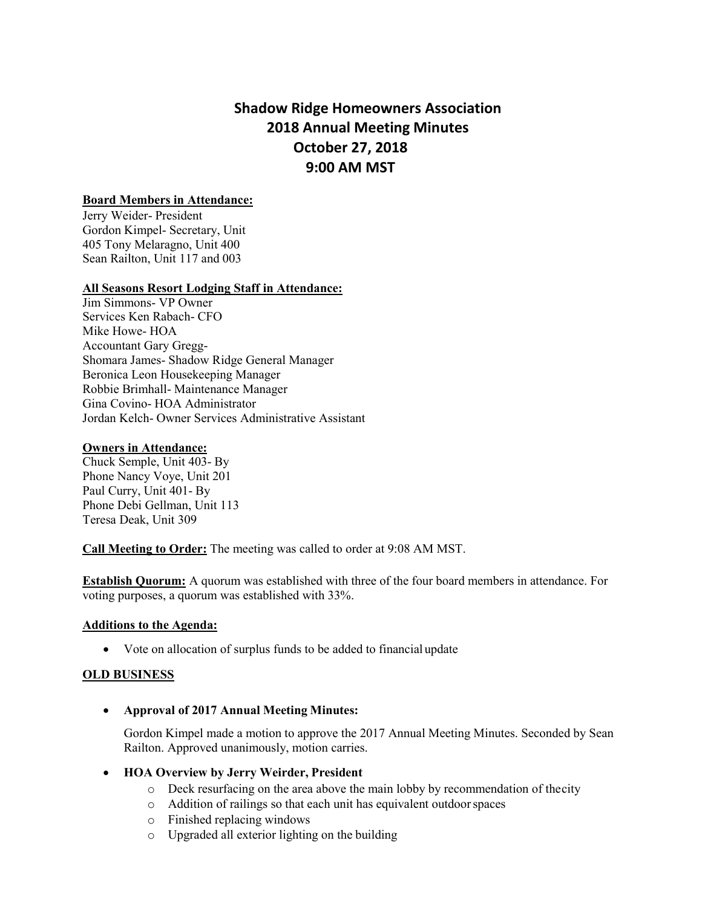# **Shadow Ridge Homeowners Association 2018 Annual Meeting Minutes October 27, 2018 9:00 AM MST**

## **Board Members in Attendance:**

Jerry Weider- President Gordon Kimpel- Secretary, Unit 405 Tony Melaragno, Unit 400 Sean Railton, Unit 117 and 003

#### **All Seasons Resort Lodging Staff in Attendance:**

Jim Simmons- VP Owner Services Ken Rabach- CFO Mike Howe- HOA Accountant Gary Gregg-Shomara James- Shadow Ridge General Manager Beronica Leon Housekeeping Manager Robbie Brimhall- Maintenance Manager Gina Covino- HOA Administrator Jordan Kelch- Owner Services Administrative Assistant

#### **Owners in Attendance:**

Chuck Semple, Unit 403- By Phone Nancy Voye, Unit 201 Paul Curry, Unit 401- By Phone Debi Gellman, Unit 113 Teresa Deak, Unit 309

**Call Meeting to Order:** The meeting was called to order at 9:08 AM MST.

**Establish Quorum:** A quorum was established with three of the four board members in attendance. For voting purposes, a quorum was established with 33%.

#### **Additions to the Agenda:**

• Vote on allocation of surplus funds to be added to financial update

## **OLD BUSINESS**

• **Approval of 2017 Annual Meeting Minutes:**

Gordon Kimpel made a motion to approve the 2017 Annual Meeting Minutes. Seconded by Sean Railton. Approved unanimously, motion carries.

- **HOA Overview by Jerry Weirder, President**
	- o Deck resurfacing on the area above the main lobby by recommendation of thecity
	- o Addition of railings so that each unit has equivalent outdoorspaces
	- o Finished replacing windows
	- o Upgraded all exterior lighting on the building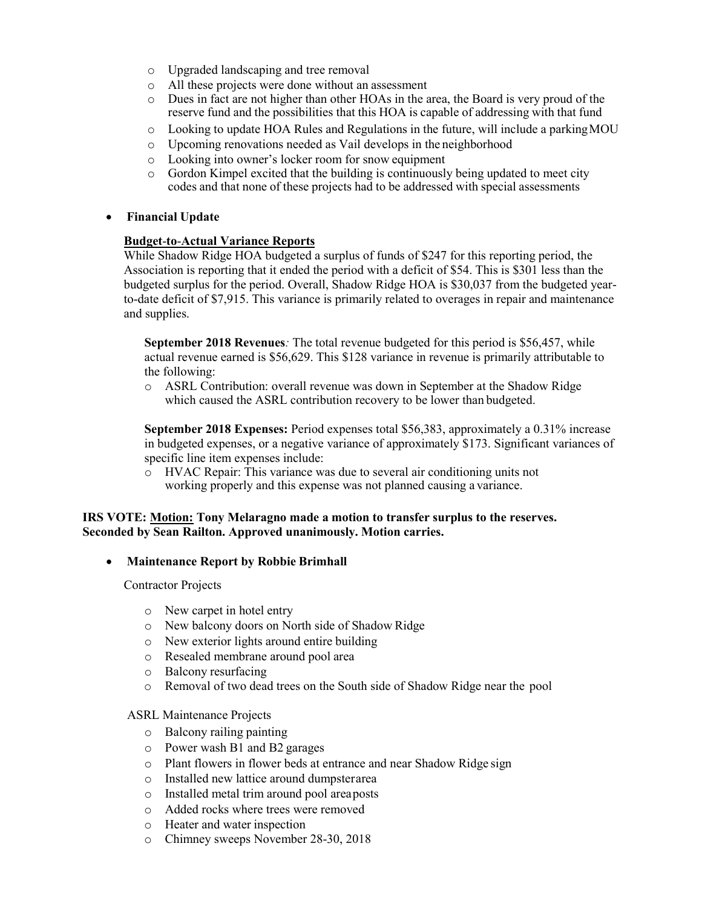- o Upgraded landscaping and tree removal
- $\circ$  All these projects were done without an assessment  $\circ$  Dues in fact are not higher than other HOAs in the a
- Dues in fact are not higher than other HOAs in the area, the Board is very proud of the reserve fund and the possibilities that this HOA is capable of addressing with that fund
- $\circ$  Looking to update HOA Rules and Regulations in the future, will include a parking MOU
- o Upcoming renovations needed as Vail develops in the neighborhood
- o Looking into owner's locker room for snow equipment
- Gordon Kimpel excited that the building is continuously being updated to meet city codes and that none of these projects had to be addressed with special assessments

## • **Financial Update**

## **Budget**-**to**-**Actual Variance Reports**

While Shadow Ridge HOA budgeted a surplus of funds of \$247 for this reporting period, the Association is reporting that it ended the period with a deficit of \$54. This is \$301 less than the budgeted surplus for the period. Overall, Shadow Ridge HOA is \$30,037 from the budgeted yearto-date deficit of \$7,915. This variance is primarily related to overages in repair and maintenance and supplies.

**September 2018 Revenues***:* The total revenue budgeted for this period is \$56,457, while actual revenue earned is \$56,629. This \$128 variance in revenue is primarily attributable to the following:

o ASRL Contribution: overall revenue was down in September at the Shadow Ridge which caused the ASRL contribution recovery to be lower than budgeted.

**September 2018 Expenses:** Period expenses total \$56,383, approximately a 0.31% increase in budgeted expenses, or a negative variance of approximately \$173. Significant variances of specific line item expenses include:

o HVAC Repair: This variance was due to several air conditioning units not working properly and this expense was not planned causing a variance.

## **IRS VOTE: Motion: Tony Melaragno made a motion to transfer surplus to the reserves. Seconded by Sean Railton. Approved unanimously. Motion carries.**

## • **Maintenance Report by Robbie Brimhall**

Contractor Projects

- o New carpet in hotel entry
- o New balcony doors on North side of Shadow Ridge
- o New exterior lights around entire building
- o Resealed membrane around pool area
- o Balcony resurfacing
- o Removal of two dead trees on the South side of Shadow Ridge near the pool

## ASRL Maintenance Projects

- o Balcony railing painting
- o Power wash B1 and B2 garages
- o Plant flowers in flower beds at entrance and near Shadow Ridge sign o Installed new lattice around dumpsterarea
- Installed new lattice around dumpsterarea
- o Installed metal trim around pool areaposts
- o Added rocks where trees were removed
- o Heater and water inspection
- o Chimney sweeps November 28-30, 2018